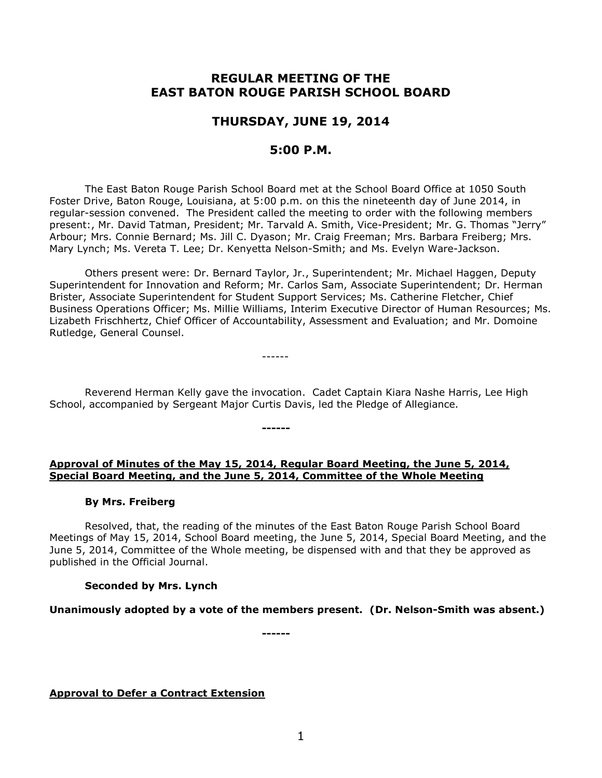# **REGULAR MEETING OF THE EAST BATON ROUGE PARISH SCHOOL BOARD**

# **THURSDAY, JUNE 19, 2014**

# **5:00 P.M.**

The East Baton Rouge Parish School Board met at the School Board Office at 1050 South Foster Drive, Baton Rouge, Louisiana, at 5:00 p.m. on this the nineteenth day of June 2014, in regular-session convened. The President called the meeting to order with the following members present:, Mr. David Tatman, President; Mr. Tarvald A. Smith, Vice-President; Mr. G. Thomas "Jerry" Arbour; Mrs. Connie Bernard; Ms. Jill C. Dyason; Mr. Craig Freeman; Mrs. Barbara Freiberg; Mrs. Mary Lynch; Ms. Vereta T. Lee; Dr. Kenyetta Nelson-Smith; and Ms. Evelyn Ware-Jackson.

Others present were: Dr. Bernard Taylor, Jr., Superintendent; Mr. Michael Haggen, Deputy Superintendent for Innovation and Reform; Mr. Carlos Sam, Associate Superintendent; Dr. Herman Brister, Associate Superintendent for Student Support Services; Ms. Catherine Fletcher, Chief Business Operations Officer; Ms. Millie Williams, Interim Executive Director of Human Resources; Ms. Lizabeth Frischhertz, Chief Officer of Accountability, Assessment and Evaluation; and Mr. Domoine Rutledge, General Counsel.

------

**------**

Reverend Herman Kelly gave the invocation. Cadet Captain Kiara Nashe Harris, Lee High School, accompanied by Sergeant Major Curtis Davis, led the Pledge of Allegiance.

## **Approval of Minutes of the May 15, 2014, Regular Board Meeting, the June 5, 2014, Special Board Meeting, and the June 5, 2014, Committee of the Whole Meeting**

#### **By Mrs. Freiberg**

Resolved, that, the reading of the minutes of the East Baton Rouge Parish School Board Meetings of May 15, 2014, School Board meeting, the June 5, 2014, Special Board Meeting, and the June 5, 2014, Committee of the Whole meeting, be dispensed with and that they be approved as published in the Official Journal.

#### **Seconded by Mrs. Lynch**

**Unanimously adopted by a vote of the members present. (Dr. Nelson-Smith was absent.)**

**------**

**Approval to Defer a Contract Extension**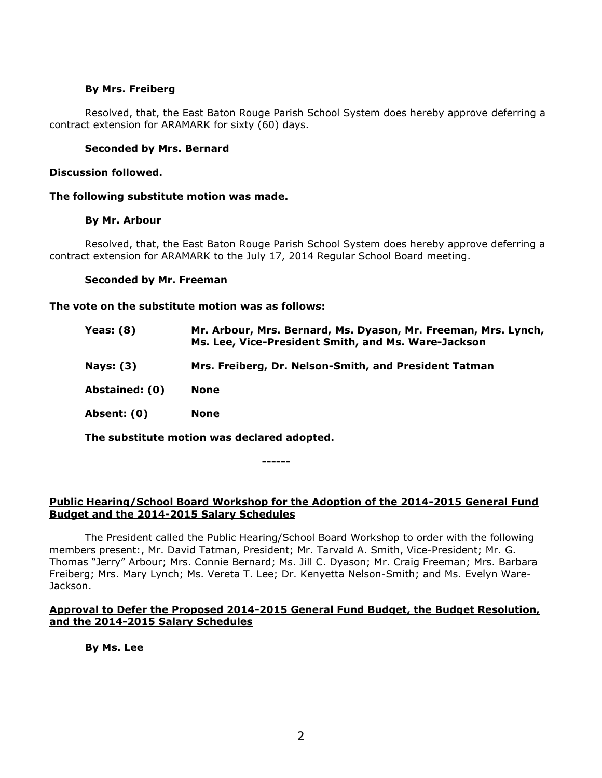#### **By Mrs. Freiberg**

Resolved, that, the East Baton Rouge Parish School System does hereby approve deferring a contract extension for ARAMARK for sixty (60) days.

#### **Seconded by Mrs. Bernard**

#### **Discussion followed.**

#### **The following substitute motion was made.**

#### **By Mr. Arbour**

Resolved, that, the East Baton Rouge Parish School System does hereby approve deferring a contract extension for ARAMARK to the July 17, 2014 Regular School Board meeting.

#### **Seconded by Mr. Freeman**

#### **The vote on the substitute motion was as follows:**

| <b>Yeas: (8)</b> | Mr. Arbour, Mrs. Bernard, Ms. Dyason, Mr. Freeman, Mrs. Lynch,<br>Ms. Lee, Vice-President Smith, and Ms. Ware-Jackson |
|------------------|-----------------------------------------------------------------------------------------------------------------------|
| Nays: (3)        | Mrs. Freiberg, Dr. Nelson-Smith, and President Tatman                                                                 |
| Abstained: (0)   | None                                                                                                                  |
| Absent: (0)      | <b>None</b>                                                                                                           |
|                  |                                                                                                                       |

**The substitute motion was declared adopted.**

**------**

# **Public Hearing/School Board Workshop for the Adoption of the 2014-2015 General Fund Budget and the 2014-2015 Salary Schedules**

The President called the Public Hearing/School Board Workshop to order with the following members present:, Mr. David Tatman, President; Mr. Tarvald A. Smith, Vice-President; Mr. G. Thomas "Jerry" Arbour; Mrs. Connie Bernard; Ms. Jill C. Dyason; Mr. Craig Freeman; Mrs. Barbara Freiberg; Mrs. Mary Lynch; Ms. Vereta T. Lee; Dr. Kenyetta Nelson-Smith; and Ms. Evelyn Ware-Jackson.

#### **Approval to Defer the Proposed 2014-2015 General Fund Budget, the Budget Resolution, and the 2014-2015 Salary Schedules**

**By Ms. Lee**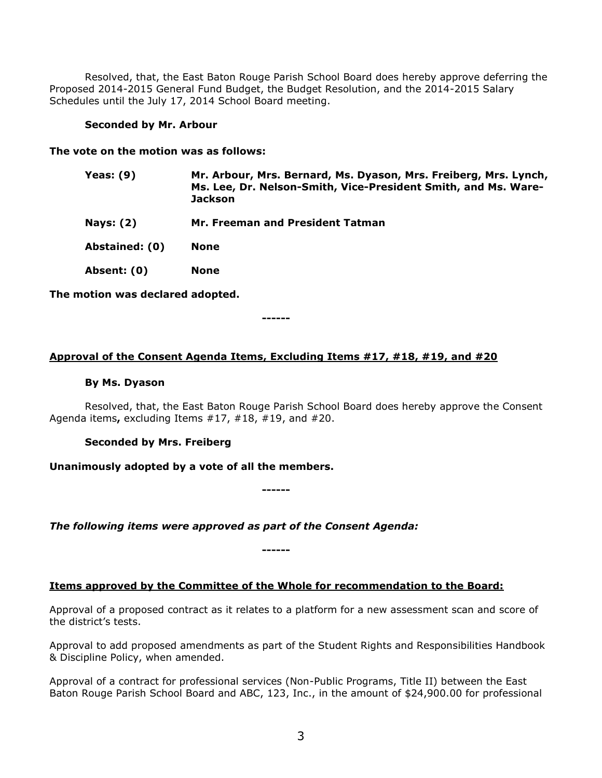Resolved, that, the East Baton Rouge Parish School Board does hereby approve deferring the Proposed 2014-2015 General Fund Budget, the Budget Resolution, and the 2014-2015 Salary Schedules until the July 17, 2014 School Board meeting.

## **Seconded by Mr. Arbour**

**The vote on the motion was as follows:**

| Yeas: $(9)$    | Mr. Arbour, Mrs. Bernard, Ms. Dyason, Mrs. Freiberg, Mrs. Lynch,<br>Ms. Lee, Dr. Nelson-Smith, Vice-President Smith, and Ms. Ware-<br><b>Jackson</b> |
|----------------|------------------------------------------------------------------------------------------------------------------------------------------------------|
| Nays: $(2)$    | Mr. Freeman and President Tatman                                                                                                                     |
| Abstained: (0) | None                                                                                                                                                 |
| Absent: (0)    | <b>None</b>                                                                                                                                          |

**The motion was declared adopted.**

**------**

## **Approval of the Consent Agenda Items, Excluding Items #17, #18, #19, and #20**

#### **By Ms. Dyason**

Resolved, that, the East Baton Rouge Parish School Board does hereby approve the Consent Agenda items**,** excluding Items #17, #18, #19, and #20.

## **Seconded by Mrs. Freiberg**

**Unanimously adopted by a vote of all the members.**

**------**

*The following items were approved as part of the Consent Agenda:*

## **Items approved by the Committee of the Whole for recommendation to the Board:**

**------**

Approval of a proposed contract as it relates to a platform for a new assessment scan and score of the district's tests.

Approval to add proposed amendments as part of the Student Rights and Responsibilities Handbook & Discipline Policy, when amended.

Approval of a contract for professional services (Non-Public Programs, Title II) between the East Baton Rouge Parish School Board and ABC, 123, Inc., in the amount of \$24,900.00 for professional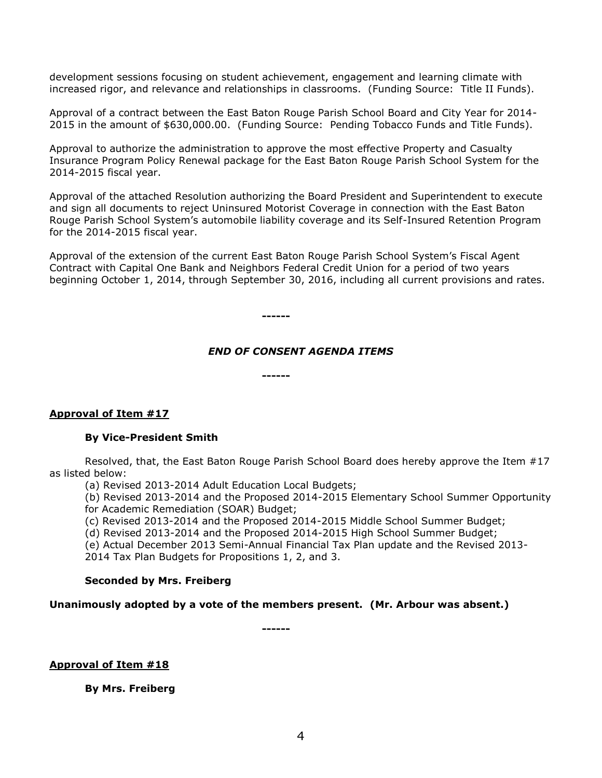development sessions focusing on student achievement, engagement and learning climate with increased rigor, and relevance and relationships in classrooms. (Funding Source: Title II Funds).

Approval of a contract between the East Baton Rouge Parish School Board and City Year for 2014- 2015 in the amount of \$630,000.00. (Funding Source: Pending Tobacco Funds and Title Funds).

Approval to authorize the administration to approve the most effective Property and Casualty Insurance Program Policy Renewal package for the East Baton Rouge Parish School System for the 2014-2015 fiscal year.

Approval of the attached Resolution authorizing the Board President and Superintendent to execute and sign all documents to reject Uninsured Motorist Coverage in connection with the East Baton Rouge Parish School System's automobile liability coverage and its Self-Insured Retention Program for the 2014-2015 fiscal year.

Approval of the extension of the current East Baton Rouge Parish School System's Fiscal Agent Contract with Capital One Bank and Neighbors Federal Credit Union for a period of two years beginning October 1, 2014, through September 30, 2016, including all current provisions and rates.

**------**

**------**

# *END OF CONSENT AGENDA ITEMS*

## **Approval of Item #17**

## **By Vice-President Smith**

Resolved, that, the East Baton Rouge Parish School Board does hereby approve the Item #17 as listed below:

(a) Revised 2013-2014 Adult Education Local Budgets;

(b) Revised 2013-2014 and the Proposed 2014-2015 Elementary School Summer Opportunity

for Academic Remediation (SOAR) Budget;

(c) Revised 2013-2014 and the Proposed 2014-2015 Middle School Summer Budget;

(d) Revised 2013-2014 and the Proposed 2014-2015 High School Summer Budget;

(e) Actual December 2013 Semi-Annual Financial Tax Plan update and the Revised 2013-

2014 Tax Plan Budgets for Propositions 1, 2, and 3.

## **Seconded by Mrs. Freiberg**

## **Unanimously adopted by a vote of the members present. (Mr. Arbour was absent.)**

**------**

## **Approval of Item #18**

**By Mrs. Freiberg**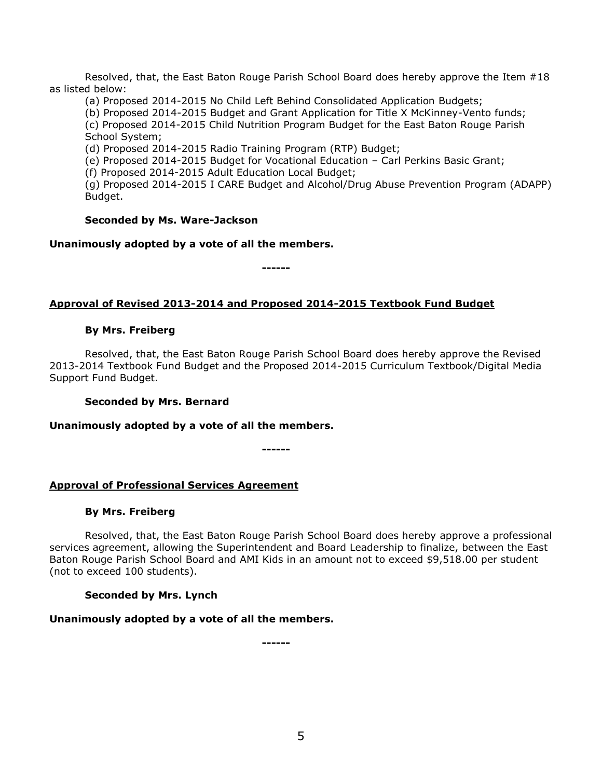Resolved, that, the East Baton Rouge Parish School Board does hereby approve the Item #18 as listed below:

(a) Proposed 2014-2015 No Child Left Behind Consolidated Application Budgets;

(b) Proposed 2014-2015 Budget and Grant Application for Title X McKinney-Vento funds;

(c) Proposed 2014-2015 Child Nutrition Program Budget for the East Baton Rouge Parish School System;

(d) Proposed 2014-2015 Radio Training Program (RTP) Budget;

(e) Proposed 2014-2015 Budget for Vocational Education – Carl Perkins Basic Grant;

(f) Proposed 2014-2015 Adult Education Local Budget;

(g) Proposed 2014-2015 I CARE Budget and Alcohol/Drug Abuse Prevention Program (ADAPP) Budget.

## **Seconded by Ms. Ware-Jackson**

## **Unanimously adopted by a vote of all the members.**

**------**

# **Approval of Revised 2013-2014 and Proposed 2014-2015 Textbook Fund Budget**

## **By Mrs. Freiberg**

Resolved, that, the East Baton Rouge Parish School Board does hereby approve the Revised 2013-2014 Textbook Fund Budget and the Proposed 2014-2015 Curriculum Textbook/Digital Media Support Fund Budget.

## **Seconded by Mrs. Bernard**

## **Unanimously adopted by a vote of all the members.**

**------**

## **Approval of Professional Services Agreement**

## **By Mrs. Freiberg**

Resolved, that, the East Baton Rouge Parish School Board does hereby approve a professional services agreement, allowing the Superintendent and Board Leadership to finalize, between the East Baton Rouge Parish School Board and AMI Kids in an amount not to exceed \$9,518.00 per student (not to exceed 100 students).

## **Seconded by Mrs. Lynch**

# **Unanimously adopted by a vote of all the members.**

**------**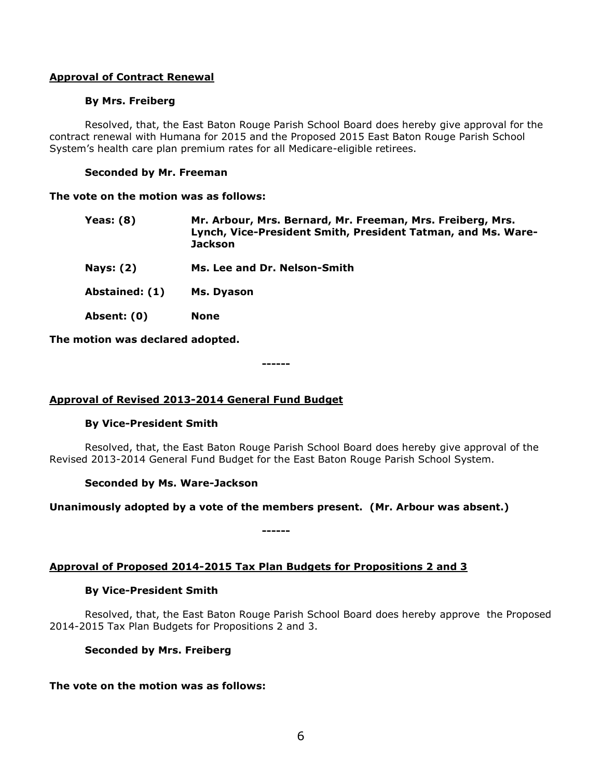## **Approval of Contract Renewal**

## **By Mrs. Freiberg**

Resolved, that, the East Baton Rouge Parish School Board does hereby give approval for the contract renewal with Humana for 2015 and the Proposed 2015 East Baton Rouge Parish School System's health care plan premium rates for all Medicare-eligible retirees.

# **Seconded by Mr. Freeman**

## **The vote on the motion was as follows:**

| <b>Yeas: (8)</b> | Mr. Arbour, Mrs. Bernard, Mr. Freeman, Mrs. Freiberg, Mrs.<br>Lynch, Vice-President Smith, President Tatman, and Ms. Ware-<br><b>Jackson</b> |
|------------------|----------------------------------------------------------------------------------------------------------------------------------------------|
| <b>Nays: (2)</b> | Ms. Lee and Dr. Nelson-Smith                                                                                                                 |
| Abstained: (1)   | Ms. Dyason                                                                                                                                   |
| Absent: (0)      | <b>None</b>                                                                                                                                  |
|                  |                                                                                                                                              |

**The motion was declared adopted.**

**------**

# **Approval of Revised 2013-2014 General Fund Budget**

## **By Vice-President Smith**

Resolved, that, the East Baton Rouge Parish School Board does hereby give approval of the Revised 2013-2014 General Fund Budget for the East Baton Rouge Parish School System.

## **Seconded by Ms. Ware-Jackson**

## **Unanimously adopted by a vote of the members present. (Mr. Arbour was absent.)**

**------**

# **Approval of Proposed 2014-2015 Tax Plan Budgets for Propositions 2 and 3**

## **By Vice-President Smith**

Resolved, that, the East Baton Rouge Parish School Board does hereby approve the Proposed 2014-2015 Tax Plan Budgets for Propositions 2 and 3.

# **Seconded by Mrs. Freiberg**

# **The vote on the motion was as follows:**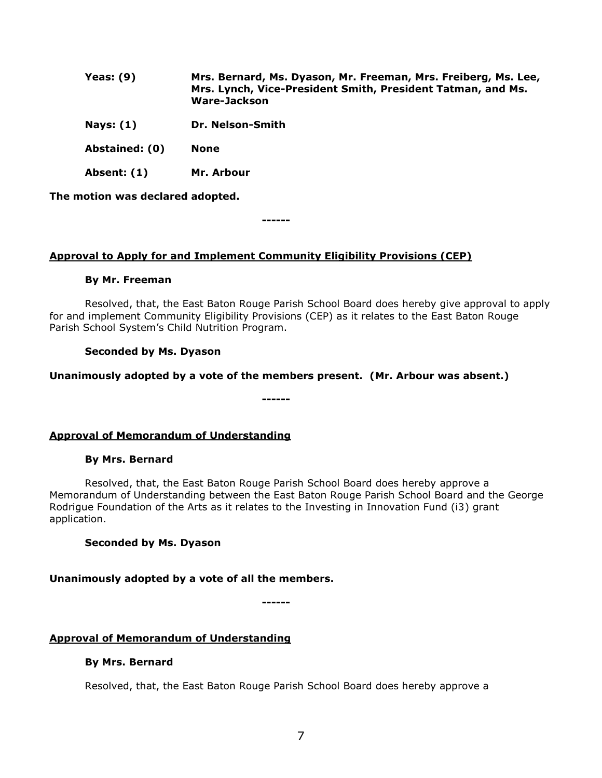| Yeas: $(9)$    | Mrs. Bernard, Ms. Dyason, Mr. Freeman, Mrs. Freiberg, Ms. Lee,<br>Mrs. Lynch, Vice-President Smith, President Tatman, and Ms.<br>Ware-Jackson |
|----------------|-----------------------------------------------------------------------------------------------------------------------------------------------|
| Nays: $(1)$    | Dr. Nelson-Smith                                                                                                                              |
| Abstained: (0) | <b>None</b>                                                                                                                                   |
| Absent: (1)    | Mr. Arbour                                                                                                                                    |

**The motion was declared adopted.**

**------**

## **Approval to Apply for and Implement Community Eligibility Provisions (CEP)**

#### **By Mr. Freeman**

Resolved, that, the East Baton Rouge Parish School Board does hereby give approval to apply for and implement Community Eligibility Provisions (CEP) as it relates to the East Baton Rouge Parish School System's Child Nutrition Program.

## **Seconded by Ms. Dyason**

#### **Unanimously adopted by a vote of the members present. (Mr. Arbour was absent.)**

**------**

## **Approval of Memorandum of Understanding**

#### **By Mrs. Bernard**

Resolved, that, the East Baton Rouge Parish School Board does hereby approve a Memorandum of Understanding between the East Baton Rouge Parish School Board and the George Rodrigue Foundation of the Arts as it relates to the Investing in Innovation Fund (i3) grant application.

## **Seconded by Ms. Dyason**

## **Unanimously adopted by a vote of all the members.**

**------**

## **Approval of Memorandum of Understanding**

#### **By Mrs. Bernard**

Resolved, that, the East Baton Rouge Parish School Board does hereby approve a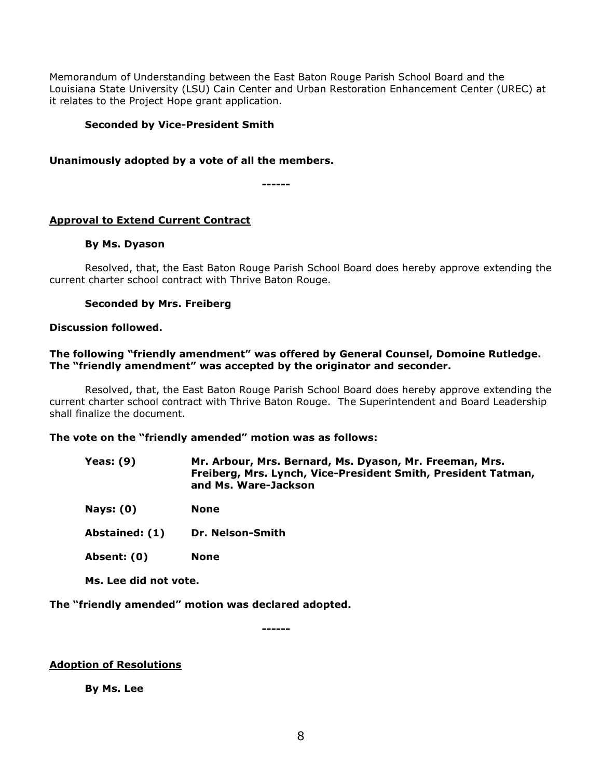Memorandum of Understanding between the East Baton Rouge Parish School Board and the Louisiana State University (LSU) Cain Center and Urban Restoration Enhancement Center (UREC) at it relates to the Project Hope grant application.

## **Seconded by Vice-President Smith**

## **Unanimously adopted by a vote of all the members.**

**------**

# **Approval to Extend Current Contract**

## **By Ms. Dyason**

Resolved, that, the East Baton Rouge Parish School Board does hereby approve extending the current charter school contract with Thrive Baton Rouge.

## **Seconded by Mrs. Freiberg**

#### **Discussion followed.**

#### **The following "friendly amendment" was offered by General Counsel, Domoine Rutledge. The "friendly amendment" was accepted by the originator and seconder.**

Resolved, that, the East Baton Rouge Parish School Board does hereby approve extending the current charter school contract with Thrive Baton Rouge. The Superintendent and Board Leadership shall finalize the document.

## **The vote on the "friendly amended" motion was as follows:**

- **Yeas: (9) Mr. Arbour, Mrs. Bernard, Ms. Dyason, Mr. Freeman, Mrs. Freiberg, Mrs. Lynch, Vice-President Smith, President Tatman, and Ms. Ware-Jackson**
- **Nays: (0) None**
- **Abstained: (1) Dr. Nelson-Smith**
- **Absent: (0) None**
- **Ms. Lee did not vote.**

**The "friendly amended" motion was declared adopted.**

**------**

## **Adoption of Resolutions**

**By Ms. Lee**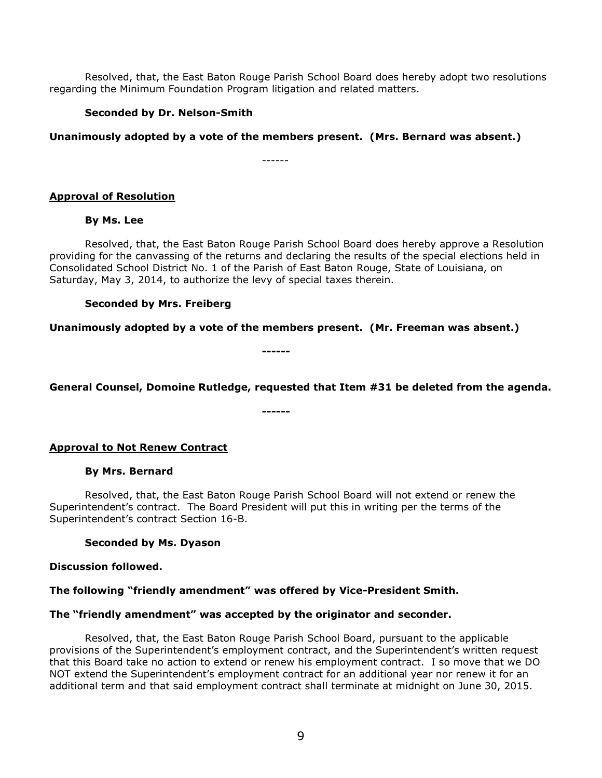Resolved, that, the East Baton Rouge Parish School Board does hereby adopt two resolutions regarding the Minimum Foundation Program litigation and related matters.

# **Seconded by Dr. Nelson-Smith**

**Unanimously adopted by a vote of the members present. (Mrs. Bernard was absent.)**

------

# **Approval of Resolution**

## **By Ms. Lee**

Resolved, that, the East Baton Rouge Parish School Board does hereby approve a Resolution providing for the canvassing of the returns and declaring the results of the special elections held in Consolidated School District No. 1 of the Parish of East Baton Rouge, State of Louisiana, on Saturday, May 3, 2014, to authorize the levy of special taxes therein.

# **Seconded by Mrs. Freiberg**

**Unanimously adopted by a vote of the members present. (Mr. Freeman was absent.)**

**------**

# **General Counsel, Domoine Rutledge, requested that Item #31 be deleted from the agenda.**

**------**

## **Approval to Not Renew Contract**

## **By Mrs. Bernard**

Resolved, that, the East Baton Rouge Parish School Board will not extend or renew the Superintendent's contract. The Board President will put this in writing per the terms of the Superintendent's contract Section 16-B.

## **Seconded by Ms. Dyason**

## **Discussion followed.**

## **The following "friendly amendment" was offered by Vice-President Smith.**

## **The "friendly amendment" was accepted by the originator and seconder.**

Resolved, that, the East Baton Rouge Parish School Board, pursuant to the applicable provisions of the Superintendent's employment contract, and the Superintendent's written request that this Board take no action to extend or renew his employment contract. I so move that we DO NOT extend the Superintendent's employment contract for an additional year nor renew it for an additional term and that said employment contract shall terminate at midnight on June 30, 2015.